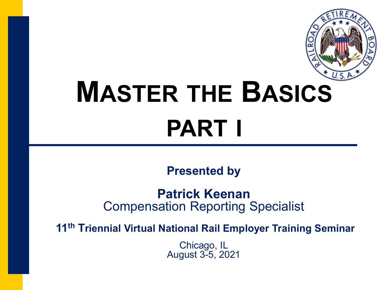

# **MASTER THE BASICS PART I**

**Presented by** 

**Patrick Keenan** Compensation Reporting Specialist

**11th Triennial Virtual National Rail Employer Training Seminar**

Chicago, IL August 3-5, 2021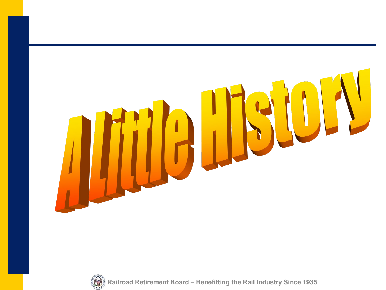



**Railroad Retirement Board – Benefitting the Rail Industry Since 1935**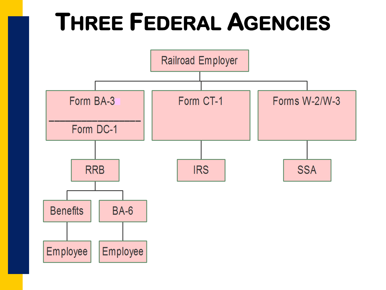### **THREE FEDERAL AGENCIES**

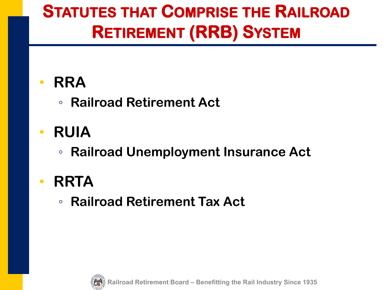### **STATUTES THAT COMPRISE THE RAILROAD RETIREMENT (RRB) SYSTEM**

#### • **RRA**

- **Railroad Retirement Act**
- **RUIA**
	- **Railroad Unemployment Insurance Act**

#### • **RRTA**

◦ **Railroad Retirement Tax Act**



**Railroad Retirement Board – Benefitting the Rail Industry Since 1935**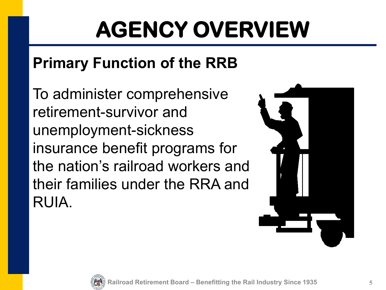# **AGENCY OVERVIEW**

#### **Primary Function of the RRB**

To administer comprehensive retirement-survivor and unemployment-sickness insurance benefit programs for the nation's railroad workers and their families under the RRA and RUIA.



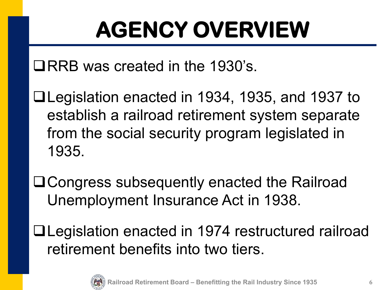# **AGENCY OVERVIEW**

QRRB was created in the 1930's.

- Legislation enacted in 1934, 1935, and 1937 to establish a railroad retirement system separate from the social security program legislated in 1935.
- Congress subsequently enacted the Railroad Unemployment Insurance Act in 1938.
- Legislation enacted in 1974 restructured railroad retirement benefits into two tiers.

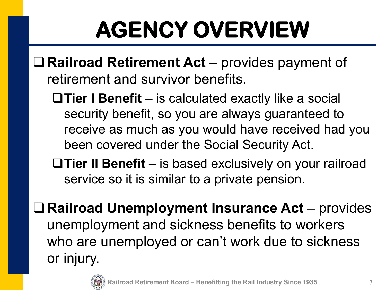# **AGENCY OVERVIEW**

- **Railroad Retirement Act** provides payment of retirement and survivor benefits.
	- **Tier I Benefit** is calculated exactly like a social security benefit, so you are always guaranteed to receive as much as you would have received had you been covered under the Social Security Act.
	- **Tier II Benefit** is based exclusively on your railroad service so it is similar to a private pension.
- **Railroad Unemployment Insurance Act** provides unemployment and sickness benefits to workers who are unemployed or can't work due to sickness or injury.

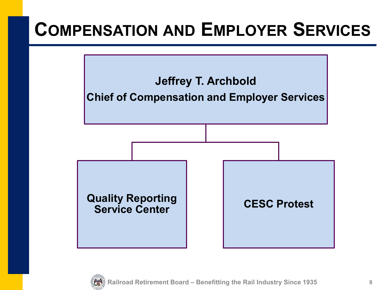### **COMPENSATION AND EMPLOYER SERVICES**



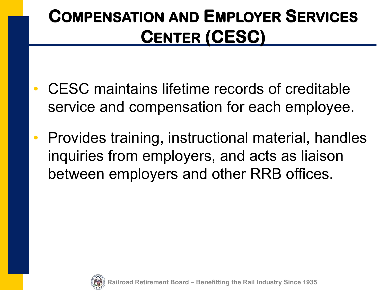### **COMPENSATION AND EMPLOYER SERVICES CENTER (CESC)**

- CESC maintains lifetime records of creditable service and compensation for each employee.
- Provides training, instructional material, handles inquiries from employers, and acts as liaison between employers and other RRB offices.



**Railroad Retirement Board – Benefitting the Rail Industry Since 1935**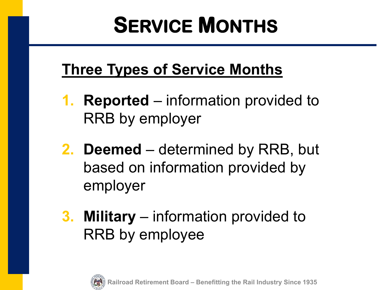### **SERVICE MONTHS**

#### **Three Types of Service Months**

- **1. Reported** information provided to RRB by employer
- **2. Deemed** determined by RRB, but based on information provided by employer
- **3. Military** information provided to RRB by employee

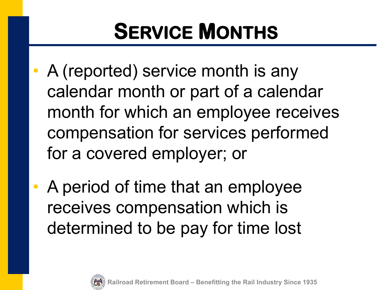### **SERVICE MONTHS**

- A (reported) service month is any calendar month or part of a calendar month for which an employee receives compensation for services performed for a covered employer; or
- A period of time that an employee receives compensation which is determined to be pay for time lost

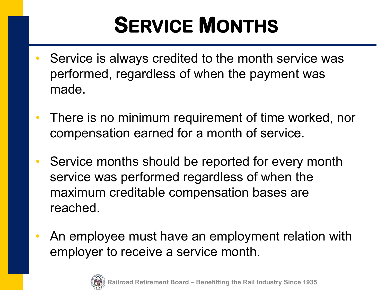### **SERVICE MONTHS**

- Service is always credited to the month service was performed, regardless of when the payment was made.
- There is no minimum requirement of time worked, nor compensation earned for a month of service.
- Service months should be reported for every month service was performed regardless of when the maximum creditable compensation bases are reached.
- An employee must have an employment relation with employer to receive a service month.

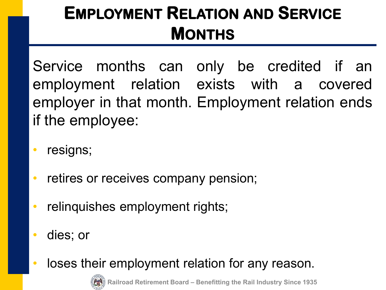### **EMPLOYMENT RELATION AND SERVICE MONTHS**

Service months can only be credited if an employment relation exists with a covered employer in that month. Employment relation ends if the employee:

- resigns;
- retires or receives company pension;
- relinquishes employment rights;
- dies; or
- loses their employment relation for any reason.



**Railroad Retirement Board – Benefitting the Rail Industry Since 1935**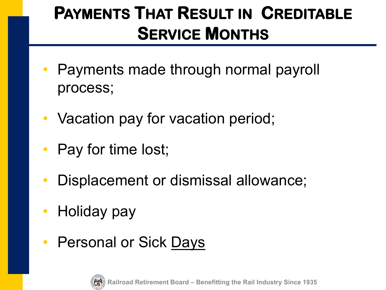### **PAYMENTS THAT RESULT IN CREDITABLE SERVICE MONTHS**

- Payments made through normal payroll process;
- Vacation pay for vacation period;
- Pay for time lost;
- Displacement or dismissal allowance;
- Holiday pay
- Personal or Sick Days

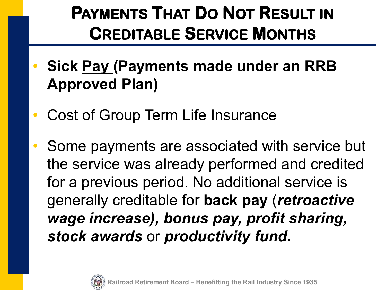### **PAYMENTS THAT DO NOT RESULT IN CREDITABLE SERVICE MONTHS**

- **Sick Pay (Payments made under an RRB Approved Plan)**
- Cost of Group Term Life Insurance
	- Some payments are associated with service but the service was already performed and credited for a previous period. No additional service is generally creditable for **back pay** (*retroactive wage increase), bonus pay, profit sharing, stock awards* or *productivity fund.*

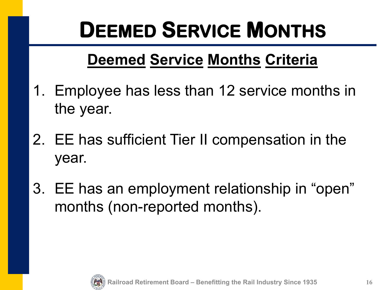### **DEEMED SERVICE MONTHS**

#### **Deemed Service Months Criteria**

- 1. Employee has less than 12 service months in the year.
- 2. EE has sufficient Tier II compensation in the year.
- 3. EE has an employment relationship in "open" months (non-reported months).

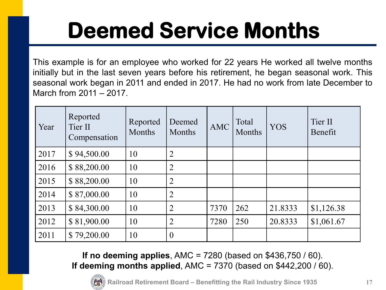## **Deemed Service Months**

This example is for an employee who worked for 22 years He worked all twelve months initially but in the last seven years before his retirement, he began seasonal work. This seasonal work began in 2011 and ended in 2017. He had no work from late December to March from 2011 – 2017.

| Year | Reported<br>Tier II<br>Compensation | Reported<br>Months | Deemed<br><b>Months</b> | <b>AMC</b> | Total<br><b>Months</b> | <b>YOS</b> | Tier II<br>Benefit |
|------|-------------------------------------|--------------------|-------------------------|------------|------------------------|------------|--------------------|
| 2017 | \$94,500.00                         | 10                 | $\overline{2}$          |            |                        |            |                    |
| 2016 | \$88,200.00                         | 10                 | $\overline{2}$          |            |                        |            |                    |
| 2015 | \$88,200.00                         | 10                 | $\overline{2}$          |            |                        |            |                    |
| 2014 | \$87,000.00                         | 10                 | $\overline{2}$          |            |                        |            |                    |
| 2013 | \$84,300.00                         | 10                 | $\overline{2}$          | 7370       | 262                    | 21.8333    | \$1,126.38         |
| 2012 | \$81,900.00                         | 10                 | $\overline{2}$          | 7280       | 250                    | 20.8333    | \$1,061.67         |
| 2011 | \$79,200.00                         | 10                 | $\overline{0}$          |            |                        |            |                    |

**If no deeming applies**, AMC = 7280 (based on \$436,750 / 60). **If deeming months applied**, AMC = 7370 (based on \$442,200 / 60).



**Railroad Retirement Board – Benefitting the Rail Industry Since 1935**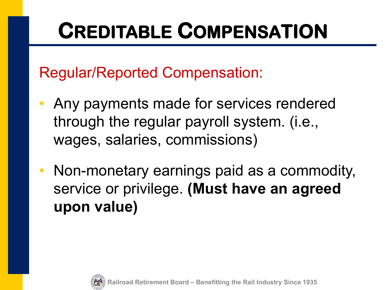### **CREDITABLE COMPENSATION**

Regular/Reported Compensation:

- Any payments made for services rendered through the regular payroll system. (i.e., wages, salaries, commissions)
- Non-monetary earnings paid as a commodity, service or privilege. **(Must have an agreed upon value)**

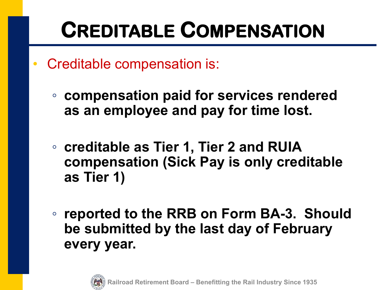### **CREDITABLE COMPENSATION**

- Creditable compensation is:
	- **compensation paid for services rendered as an employee and pay for time lost.**
	- **creditable as Tier 1, Tier 2 and RUIA compensation (Sick Pay is only creditable as Tier 1)**
	- **reported to the RRB on Form BA-3. Should be submitted by the last day of February every year.**

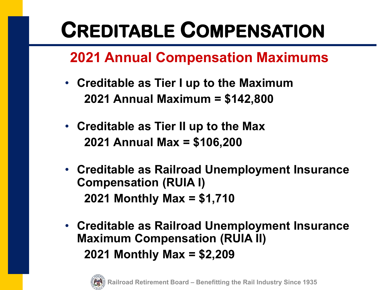### **CREDITABLE COMPENSATION**

#### **2021 Annual Compensation Maximums**

- **Creditable as Tier I up to the Maximum 2021 Annual Maximum = \$142,800**
- **Creditable as Tier II up to the Max 2021 Annual Max = \$106,200**
- **Creditable as Railroad Unemployment Insurance Compensation (RUIA I) 2021 Monthly Max = \$1,710**
- **Creditable as Railroad Unemployment Insurance Maximum Compensation (RUIA II) 2021 Monthly Max = \$2,209**

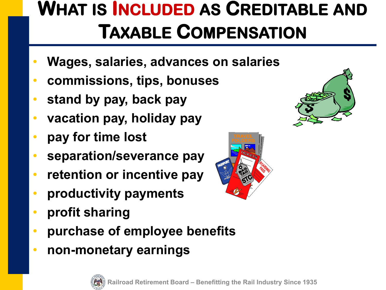### **WHAT IS INCLUDED AS CREDITABLE AND TAXABLE COMPENSATION**

- **Wages, salaries, advances on salaries**
- **commissions, tips, bonuses**
- **stand by pay, back pay**
- **vacation pay, holiday pay**
- **pay for time lost**
- **separation/severance pay**
- **retention or incentive pay**
- **productivity payments**
- **profit sharing**
- **purchase of employee benefits**
- **non-monetary earnings**





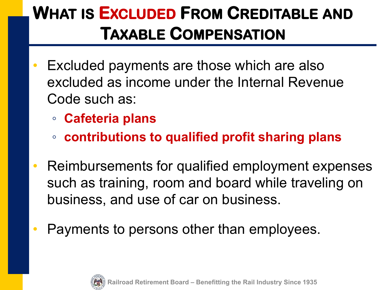### **WHAT IS EXCLUDED FROM CREDITABLE AND TAXABLE COMPENSATION**

- Excluded payments are those which are also excluded as income under the Internal Revenue Code such as:
	- **Cafeteria plans**
	- **contributions to qualified profit sharing plans**
- Reimbursements for qualified employment expenses such as training, room and board while traveling on business, and use of car on business.
- Payments to persons other than employees.

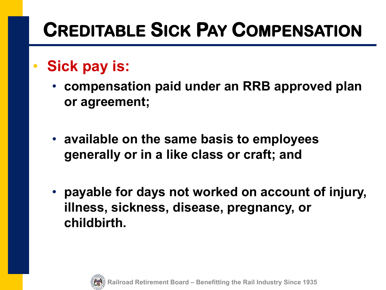### **CREDITABLE SICK PAY COMPENSATION**

#### • **Sick pay is:**

- **compensation paid under an RRB approved plan or agreement;**
- **available on the same basis to employees generally or in a like class or craft; and**
- **payable for days not worked on account of injury, illness, sickness, disease, pregnancy, or childbirth.**

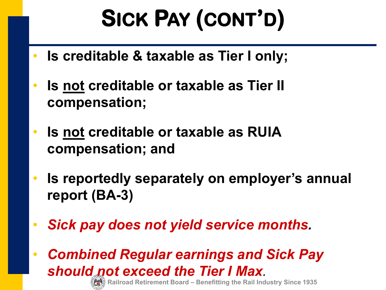# **SICK PAY (CONT'D)**

- **Is creditable & taxable as Tier I only;**
- **Is not creditable or taxable as Tier II compensation;**
- **Is not creditable or taxable as RUIA compensation; and**
- **Is reportedly separately on employer's annual report (BA-3)**
- *Sick pay does not yield service months.*

• *Combined Regular earnings and Sick Pay should not exceed the Tier I Max.*

**Railroad Retirement Board – Benefitting the Rail Industry Since 1935**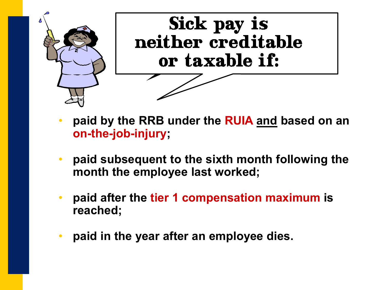

- **paid by the RRB under the RUIA and based on an on-the-job-injury;**
- **paid subsequent to the sixth month following the month the employee last worked;**
- **paid after the tier 1 compensation maximum is reached;**
- **paid in the year after an employee dies.**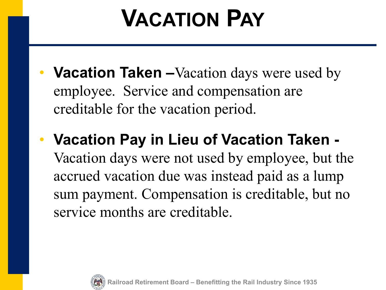# **VACATION PAY**

- **Vacation Taken** –Vacation days were used by employee. Service and compensation are creditable for the vacation period.
- **Vacation Pay in Lieu of Vacation Taken -** Vacation days were not used by employee, but the accrued vacation due was instead paid as a lump sum payment. Compensation is creditable, but no service months are creditable.

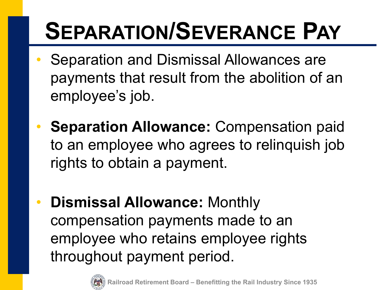# **SEPARATION/SEVERANCE PAY**

- Separation and Dismissal Allowances are payments that result from the abolition of an employee's job.
- **Separation Allowance:** Compensation paid to an employee who agrees to relinquish job rights to obtain a payment.
- **Dismissal Allowance:** Monthly compensation payments made to an employee who retains employee rights throughout payment period.

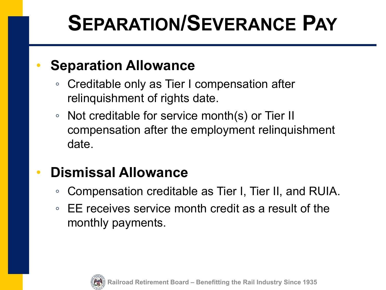### **SEPARATION/SEVERANCE PAY**

#### **Separation Allowance**

- Creditable only as Tier I compensation after relinquishment of rights date.
- Not creditable for service month(s) or Tier II compensation after the employment relinquishment date.

#### • **Dismissal Allowance**

- Compensation creditable as Tier I, Tier II, and RUIA.
- EE receives service month credit as a result of the monthly payments.

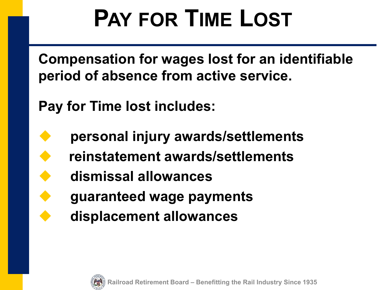# **PAY FOR TIME LOST**

**Compensation for wages lost for an identifiable period of absence from active service.**

**Pay for Time lost includes:**

- **personal injury awards/settlements**
	- **reinstatement awards/settlements**
	- **dismissal allowances**
		- **guaranteed wage payments**
		- **displacement allowances**

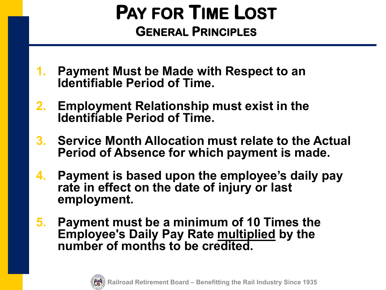#### **PAY FOR TIME LOST GENERAL PRINCIPLES**

- **1. Payment Must be Made with Respect to an Identifiable Period of Time.**
- **2. Employment Relationship must exist in the Identifiable Period of Time.**
- **3. Service Month Allocation must relate to the Actual Period of Absence for which payment is made.**
- **4. Payment is based upon the employee's daily pay rate in effect on the date of injury or last employment.**
- **5. Payment must be a minimum of 10 Times the Employee's Daily Pay Rate multiplied by the number of months to be credited.**

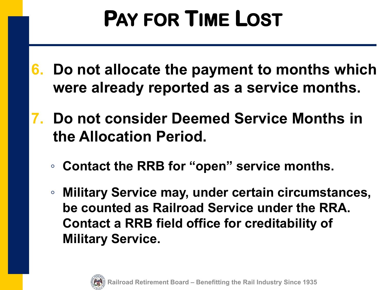### **PAY FOR TIME LOST**

- **6. Do not allocate the payment to months which were already reported as a service months.**
- **7. Do not consider Deemed Service Months in the Allocation Period.**
	- **Contact the RRB for "open" service months.**
	- **Military Service may, under certain circumstances, be counted as Railroad Service under the RRA. Contact a RRB field office for creditability of Military Service.**

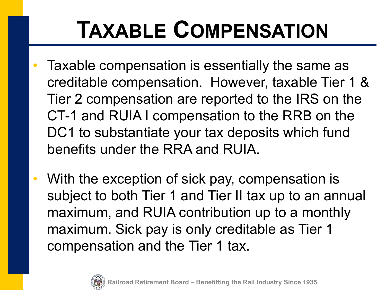# **TAXABLE COMPENSATION**

- Taxable compensation is essentially the same as creditable compensation. However, taxable Tier 1 & Tier 2 compensation are reported to the IRS on the CT-1 and RUIA I compensation to the RRB on the DC1 to substantiate your tax deposits which fund benefits under the RRA and RUIA.
- With the exception of sick pay, compensation is subject to both Tier 1 and Tier II tax up to an annual maximum, and RUIA contribution up to a monthly maximum. Sick pay is only creditable as Tier 1 compensation and the Tier 1 tax.

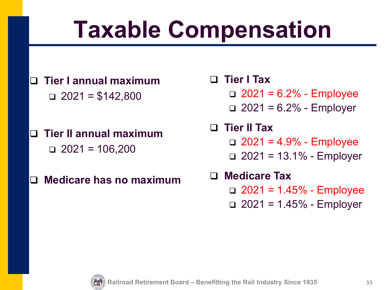# **Taxable Compensation**

- **Tier I annual maximum**  $\Box$  2021 = \$142,800
- **Tier II annual maximum**  $\Box$  2021 = 106,200
- **Medicare has no maximum**
- **Tier I Tax** 
	- $\Box$  2021 = 6.2% Employee
	- $\Box$  2021 = 6.2% Employer
- **Tier II Tax**  $\Box$  2021 = 4.9% - Employee
	- $\Box$  2021 = 13.1% Employer
- **Medicare Tax**   $\Box$  2021 = 1.45% - Employee
	- $\Box$  2021 = 1.45% Employer

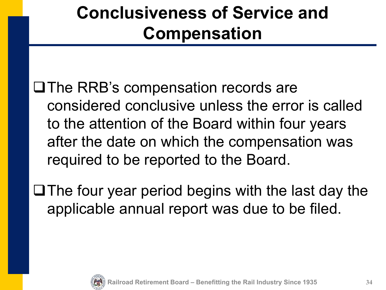### **Conclusiveness of Service and Compensation**

 $\Box$  The RRB's compensation records are considered conclusive unless the error is called to the attention of the Board within four years after the date on which the compensation was required to be reported to the Board.

 $\Box$  The four year period begins with the last day the applicable annual report was due to be filed.

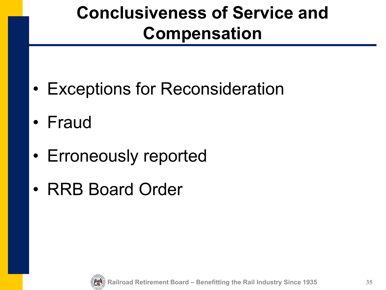### **Conclusiveness of Service and Compensation**

- Exceptions for Reconsideration
- Fraud
- Erroneously reported
- RRB Board Order

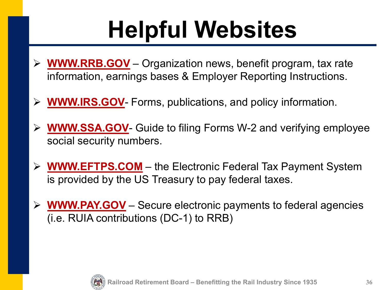# **Helpful Websites**

- **WWW.RRB.GOV** Organization news, benefit program, tax rate information, earnings bases & Employer Reporting Instructions.
- **WWW.IRS.GOV** Forms, publications, and policy information.
- **WWW.SSA.GOV** Guide to filing Forms W-2 and verifying employee social security numbers.
- **WWW.EFTPS.COM** the Electronic Federal Tax Payment System is provided by the US Treasury to pay federal taxes.
- **WWW.PAY.GOV** Secure electronic payments to federal agencies (i.e. RUIA contributions (DC-1) to RRB)